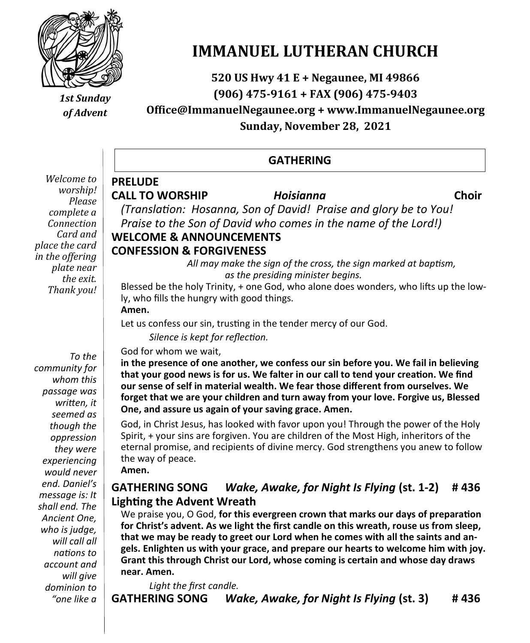

# **IMMANUEL LUTHERAN CHURCH**

**520 US Hwy 41 E + Negaunee, MI 49866 (906) 475-9161 + FAX (906) 475-9403**

*of Advent*

**Office@ImmanuelNegaunee.org + www.ImmanuelNegaunee.org Sunday, November 28, 2021**

|                |                                                                                   | <b>GATHERING</b>                                                                                                                                                                              |       |
|----------------|-----------------------------------------------------------------------------------|-----------------------------------------------------------------------------------------------------------------------------------------------------------------------------------------------|-------|
| <b>PRELUDE</b> | <b>CALL TO WORSHIP</b>                                                            | <b>Hoisianna</b><br>(Translation: Hosanna, Son of David! Praise and glory be to You!                                                                                                          | Choir |
|                | <b>WELCOME &amp; ANNOUNCEMENTS</b>                                                | Praise to the Son of David who comes in the name of the Lord!)                                                                                                                                |       |
| Amen.          | <b>CONFESSION &amp; FORGIVENESS</b><br>ly, who fills the hungry with good things. | All may make the sign of the cross, the sign marked at baptism,<br>as the presiding minister begins.<br>Blessed be the holy Trinity, + one God, who alone does wonders, who lifts up the low- |       |
|                | Silence is kept for reflection.                                                   | Let us confess our sin, trusting in the tender mercy of our God.                                                                                                                              |       |
|                | God for whom we wait,                                                             | in the presence of one another, we confess our sin before you. We fail in believing<br>that your good news is for us. We falter in our call to tend your creation. We find                    |       |

**that your good news is for us. We falter in our call to tend your creation. We find our sense of self in material wealth. We fear those different from ourselves. We forget that we are your children and turn away from your love. Forgive us, Blessed One, and assure us again of your saving grace. Amen.**

God, in Christ Jesus, has looked with favor upon you! Through the power of the Holy Spirit, + your sins are forgiven. You are children of the Most High, inheritors of the eternal promise, and recipients of divine mercy. God strengthens you anew to follow the way of peace. **Amen.**

#### **GATHERING SONG** *Wake, Awake, for Night Is Flying* **(st. 1-2) # 436 Lighting the Advent Wreath**

We praise you, O God, **for this evergreen crown that marks our days of preparation for Christ's advent. As we light the first candle on this wreath, rouse us from sleep, that we may be ready to greet our Lord when he comes with all the saints and angels. Enlighten us with your grace, and prepare our hearts to welcome him with joy. Grant this through Christ our Lord, whose coming is certain and whose day draws near. Amen.**

*Light the first candle.* **GATHERING SONG** *Wake, Awake, for Night Is Flying* **(st. 3) # 436**

*Welcom*  $wor:$ *Please*   $comple$ *Connect Card and place the in the offe plate the*  $Then k$ 

 $Tf$ *communit whom this passage was written, it seemed as though the oppression they were experiencing would never end. Daniel's message is: It shall end. The Ancient One, who is judge, will call all nations to account and will give dominion to "one like a* 

# *1st Sunday*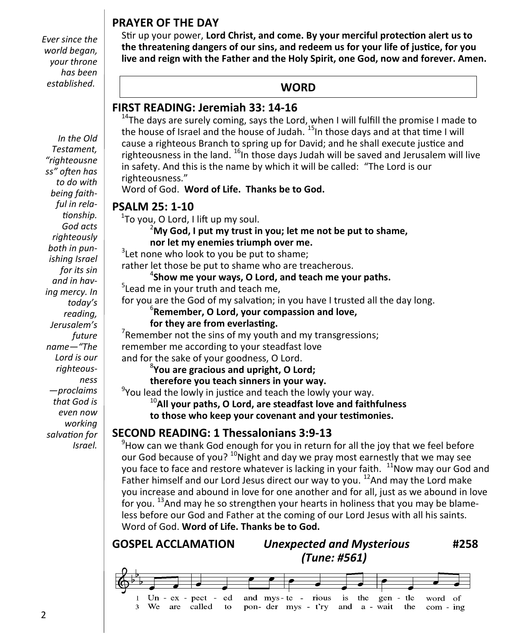### **PRAYER OF THE DAY**

*Ever since the world began, your throne has been established.*

*In the Old Testament, "righteousne ss" often has to do with being faithful in relationship. God acts righteously both in punishing Israel for its sin and in having mercy. In today's reading, Jerusalem's future name—"The Lord is our righteousness —proclaims that God is even now working salvation for Israel.*

Stir up your power, **Lord Christ, and come. By your merciful protection alert us to the threatening dangers of our sins, and redeem us for your life of justice, for you live and reign with the Father and the Holy Spirit, one God, now and forever. Amen.**

#### **WORD**

#### **FIRST READING: Jeremiah 33: 14-16**

 $14$ The days are surely coming, says the Lord, when I will fulfill the promise I made to the house of Israel and the house of Judah. <sup>15</sup>In those days and at that time I will cause a righteous Branch to spring up for David; and he shall execute justice and righteousness in the land.  $^{16}$ In those days Judah will be saved and Jerusalem will live in safety. And this is the name by which it will be called: "The Lord is our righteousness."

Word of God. **Word of Life. Thanks be to God.**

#### **PSALM 25: 1-10**

 $^1$ To you, O Lord, I lift up my soul.

#### <sup>2</sup>**My God, I put my trust in you; let me not be put to shame, nor let my enemies triumph over me.**

 $3$ Let none who look to you be put to shame;

rather let those be put to shame who are treacherous.

#### 4 **Show me your ways, O Lord, and teach me your paths.**

<sup>5</sup> Lead me in your truth and teach me,

for you are the God of my salvation; in you have I trusted all the day long.

6 **Remember, O Lord, your compassion and love,**

#### **for they are from everlasting.**

Remember not the sins of my youth and my transgressions; remember me according to your steadfast love and for the sake of your goodness, O Lord.

8 **You are gracious and upright, O Lord;**

**therefore you teach sinners in your way.**

<sup>9</sup>You lead the lowly in justice and teach the lowly your way.

<sup>10</sup>**All your paths, O Lord, are steadfast love and faithfulness**

**to those who keep your covenant and your testimonies.**

### **SECOND READING: 1 Thessalonians 3:9-13**

 $9$ How can we thank God enough for you in return for all the joy that we feel before our God because of you?  $10$ Night and day we pray most earnestly that we may see you face to face and restore whatever is lacking in your faith.  $11$ Now may our God and Father himself and our Lord Jesus direct our way to you.  $^{12}$ And may the Lord make you increase and abound in love for one another and for all, just as we abound in love for you.  $13$ And may he so strengthen your hearts in holiness that you may be blameless before our God and Father at the coming of our Lord Jesus with all his saints. Word of God. **Word of Life. Thanks be to God.** 

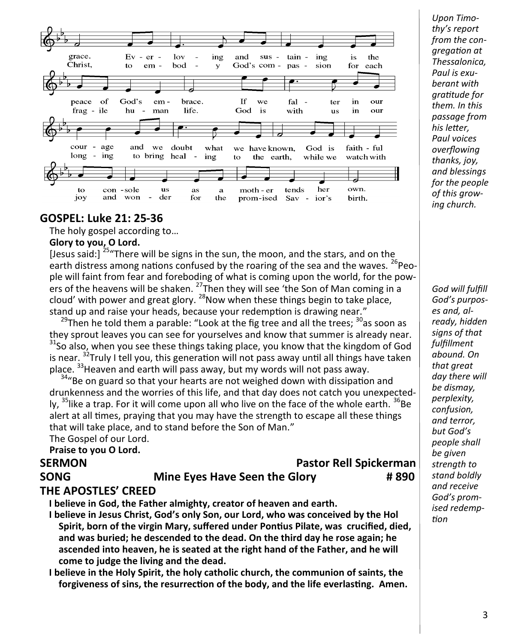| grace.<br>Christ. | $Ev - er -$<br>$-$ lov $-$<br>ing<br>bod -<br>$\mathbf{V}$<br>$em -$<br>to to | God's com - pas - sion | and sus - tain - ing                 | the<br>is<br>for each     |
|-------------------|-------------------------------------------------------------------------------|------------------------|--------------------------------------|---------------------------|
| peace of          | God's<br>brace.<br>em -                                                       | $\mathbf{H}$<br>we     | $\overline{\bullet}$<br>fal -<br>ter | in<br>our                 |
|                   | frag - ile hu - man<br>life.<br>ï                                             | God is                 | with<br><b>us</b>                    | in<br>our                 |
| cour - age        | and we doubt what<br>long - ing to bring heal - ing to the earth, while we    | we have known, God is  |                                      | faith - ful<br>watch with |
| to                | con -sole<br>us<br>as.<br>a                                                   | moth - er              | her<br>tends                         | own.                      |
| јоу               | - der<br>and won<br>for<br>the                                                |                        | prom-ised Sav - ior's                | birth.                    |

#### **GOSPEL: Luke 21: 25-36**

The holy gospel according to…

#### **Glory to you, O Lord.**

[Jesus said:]  $^{25}$  There will be signs in the sun, the moon, and the stars, and on the earth distress among nations confused by the roaring of the sea and the waves.  $^{26}$ People will faint from fear and foreboding of what is coming upon the world, for the powers of the heavens will be shaken.  $^{27}$ Then they will see 'the Son of Man coming in a cloud' with power and great glory.  $^{28}$ Now when these things begin to take place, stand up and raise your heads, because your redemption is drawing near."

 $^{29}$ Then he told them a parable: "Look at the fig tree and all the trees;  $^{30}$ as soon as they sprout leaves you can see for yourselves and know that summer is already near. <sup>31</sup>So also, when you see these things taking place, you know that the kingdom of God is near.  $32$ Truly I tell you, this generation will not pass away until all things have taken place. <sup>33</sup>Heaven and earth will pass away, but my words will not pass away.

<sup>34</sup>"Be on guard so that your hearts are not weighed down with dissipation and drunkenness and the worries of this life, and that day does not catch you unexpectedly,  $35$ like a trap. For it will come upon all who live on the face of the whole earth.  $36$ Be alert at all times, praying that you may have the strength to escape all these things that will take place, and to stand before the Son of Man."

The Gospel of our Lord.

#### **Praise to you O Lord.**

### **SERMON Pastor Rell Spickerman**

#### **SONG Mine Eyes Have Seen the Glory** # 890

#### **THE APOSTLES' CREED**

**I believe in God, the Father almighty, creator of heaven and earth.**

- **I believe in Jesus Christ, God's only Son, our Lord, who was conceived by the Hol Spirit, born of the virgin Mary, suffered under Pontius Pilate, was crucified, died, and was buried; he descended to the dead. On the third day he rose again; he ascended into heaven, he is seated at the right hand of the Father, and he will come to judge the living and the dead.**
- **I believe in the Holy Spirit, the holy catholic church, the communion of saints, the forgiveness of sins, the resurrection of the body, and the life everlasting. Amen.**

*Upon Timothy's report from the congregation at Thessalonica, Paul is exuberant with gratitude for them. In this passage from his letter, Paul voices overflowing thanks, joy, and blessings for the people of this growing church.*

*God will fulfill God's purposes and, already, hidden signs of that fulfillment abound. On that great day there will be dismay, perplexity, confusion, and terror, but God's people shall be given strength to stand boldly and receive God's promised redemption*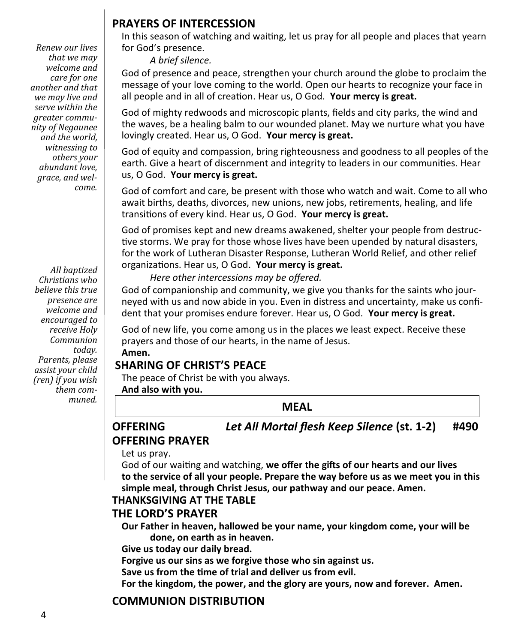*Renew our lives that we may welcome and care for one another and that we may live and serve within the greater community of Negaunee and the world, witnessing to others your abundant love, grace, and welcome.*

*All baptized Christians who believe this true presence are welcome and encouraged to receive Holy Communion today. Parents, please assist your child (ren) if you wish them communed.*

#### **PRAYERS OF INTERCESSION**

In this season of watching and waiting, let us pray for all people and places that yearn for God's presence.

*A brief silence.*

God of presence and peace, strengthen your church around the globe to proclaim the message of your love coming to the world. Open our hearts to recognize your face in all people and in all of creation. Hear us, O God. **Your mercy is great.**

God of mighty redwoods and microscopic plants, fields and city parks, the wind and the waves, be a healing balm to our wounded planet. May we nurture what you have lovingly created. Hear us, O God. **Your mercy is great.**

God of equity and compassion, bring righteousness and goodness to all peoples of the earth. Give a heart of discernment and integrity to leaders in our communities. Hear us, O God. **Your mercy is great.**

God of comfort and care, be present with those who watch and wait. Come to all who await births, deaths, divorces, new unions, new jobs, retirements, healing, and life transitions of every kind. Hear us, O God. **Your mercy is great.**

God of promises kept and new dreams awakened, shelter your people from destructive storms. We pray for those whose lives have been upended by natural disasters, for the work of Lutheran Disaster Response, Lutheran World Relief, and other relief organizations. Hear us, O God. **Your mercy is great.**

*Here other intercessions may be offered.*

God of companionship and community, we give you thanks for the saints who journeyed with us and now abide in you. Even in distress and uncertainty, make us confident that your promises endure forever. Hear us, O God. **Your mercy is great.**

God of new life, you come among us in the places we least expect. Receive these prayers and those of our hearts, in the name of Jesus.

**Amen.**

#### **SHARING OF CHRIST'S PEACE**

The peace of Christ be with you always.

**And also with you.**

**MEAL**

#### **OFFERING** *Let All Mortal flesh Keep Silence* **(st. 1-2) #490 OFFERING PRAYER**

Let us pray.

God of our waiting and watching, **we offer the gifts of our hearts and our lives to the service of all your people. Prepare the way before us as we meet you in this simple meal, through Christ Jesus, our pathway and our peace. Amen.**

#### **THANKSGIVING AT THE TABLE**

#### **THE LORD'S PRAYER**

**Our Father in heaven, hallowed be your name, your kingdom come, your will be done, on earth as in heaven.**

**Give us today our daily bread.**

**Forgive us our sins as we forgive those who sin against us.**

**Save us from the time of trial and deliver us from evil.**

**For the kingdom, the power, and the glory are yours, now and forever. Amen.**

### **COMMUNION DISTRIBUTION**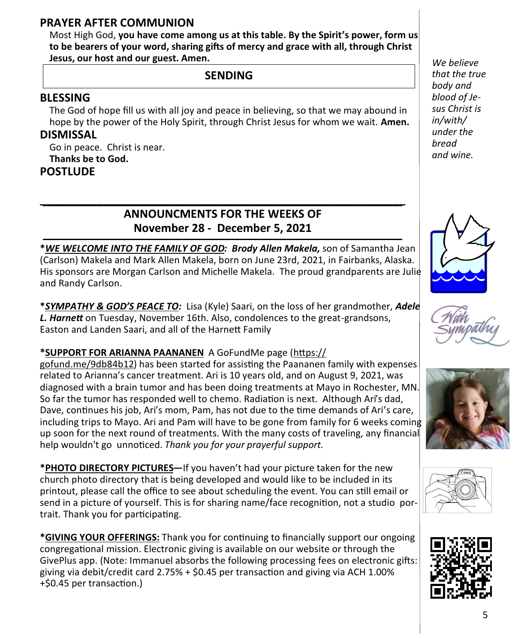#### **PRAYER AFTER COMMUNION**

Most High God, **you have come among us at this table. By the Spirit's power, form us to be bearers of your word, sharing gifts of mercy and grace with all, through Christ Jesus, our host and our guest. Amen.**

#### **SENDING**

#### **BLESSING**

The God of hope fill us with all joy and peace in believing, so that we may abound in hope by the power of the Holy Spirit, through Christ Jesus for whom we wait. **Amen.**

#### **DISMISSAL**

Go in peace. Christ is near. **Thanks be to God.**

#### **POSTLUDE**

#### **\_\_\_\_\_\_\_\_\_\_\_\_\_\_\_\_\_\_\_\_\_\_\_\_\_\_\_\_\_\_\_\_\_\_\_\_\_\_\_\_\_\_\_\_\_\_\_\_\_\_\_\_\_\_\_\_\_\_ ANNOUNCMENTS FOR THE WEEKS OF November 28 - December 5, 2021**

**\****WE WELCOME INTO THE FAMILY OF GOD: Brody Allen Makela,* son of Samantha Jean (Carlson) Makela and Mark Allen Makela, born on June 23rd, 2021, in Fairbanks, Alaska. His sponsors are Morgan Carlson and Michelle Makela. The proud grandparents are Julie and Randy Carlson.

**\****SYMPATHY & GOD'S PEACE TO:* Lisa (Kyle) Saari, on the loss of her grandmother, *Adele L. Harnett* on Tuesday, November 16th. Also, condolences to the great-grandsons, Easton and Landen Saari, and all of the Harnett Family

#### **\*SUPPORT FOR ARIANNA PAANANEN** A GoFundMe page ([https://](https://gofund.me/9db84b12)

[gofund.me/9db84b12\)](https://gofund.me/9db84b12) has been started for assisting the Paananen family with expenses related to Arianna's cancer treatment. Ari is 10 years old, and on August 9, 2021, was diagnosed with a brain tumor and has been doing treatments at Mayo in Rochester, MN. So far the tumor has responded well to chemo. Radiation is next. Although Ari's dad, Dave, continues his job, Ari's mom, Pam, has not due to the time demands of Ari's care, including trips to Mayo. Ari and Pam will have to be gone from family for 6 weeks coming up soon for the next round of treatments. With the many costs of traveling, any financial help wouldn't go unnoticed. *Thank you for your prayerful support.*

**\*PHOTO DIRECTORY PICTURES—**If you haven't had your picture taken for the new church photo directory that is being developed and would like to be included in its printout, please call the office to see about scheduling the event. You can still email or send in a picture of yourself. This is for sharing name/face recognition, not a studio portrait. Thank you for participating.

**\*GIVING YOUR OFFERINGS:** Thank you for continuing to financially support our ongoing congregational mission. Electronic giving is available on our website or through the GivePlus app. (Note: Immanuel absorbs the following processing fees on electronic gifts: giving via debit/credit card 2.75% + \$0.45 per transaction and giving via ACH 1.00% +\$0.45 per transaction.)

*We believe that the true body and blood of Jesus Christ is in/with/ under the bread and wine.* 









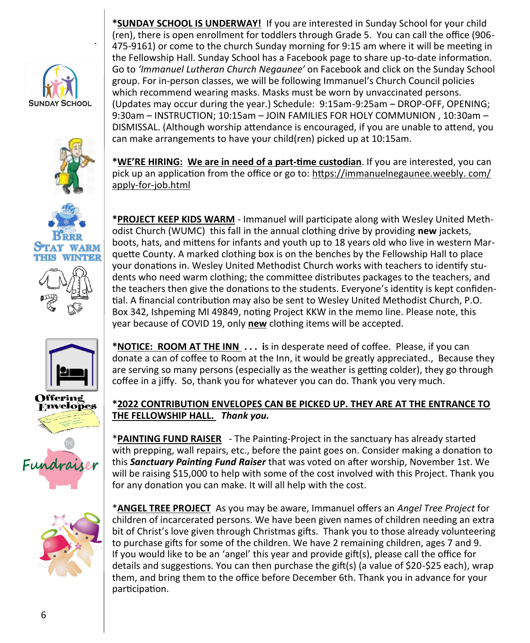

*.*









Offering **Envelopes** 





**\*SUNDAY SCHOOL IS UNDERWAY!** If you are interested in Sunday School for your child (ren), there is open enrollment for toddlers through Grade 5. You can call the office (906- 475-9161) or come to the church Sunday morning for 9:15 am where it will be meeting in the Fellowship Hall. Sunday School has a Facebook page to share up-to-date information. Go to *'Immanuel Lutheran Church Negaunee'* on Facebook and click on the Sunday School group. For in-person classes, we will be following Immanuel's Church Council policies which recommend wearing masks. Masks must be worn by unvaccinated persons. (Updates may occur during the year.) Schedule: 9:15am-9:25am – DROP-OFF, OPENING; 9:30am – INSTRUCTION; 10:15am – JOIN FAMILIES FOR HOLY COMMUNION , 10:30am – DISMISSAL. (Although worship attendance is encouraged, if you are unable to attend, you can make arrangements to have your child(ren) picked up at 10:15am.

**\*WE'RE HIRING: We are in need of a part-time custodian**. If you are interested, you can pick up an application from the office or go to: [https://immanuelnegaunee.weebly. com/](https://immanuelnegaunee.weebly.com/apply-for-job.html) apply-for-[job.html](https://immanuelnegaunee.weebly.com/apply-for-job.html)

**\*PROJECT KEEP KIDS WARM** - Immanuel will participate along with Wesley United Methodist Church (WUMC) this fall in the annual clothing drive by providing **new** jackets, boots, hats, and mittens for infants and youth up to 18 years old who live in western Marquette County. A marked clothing box is on the benches by the Fellowship Hall to place your donations in. Wesley United Methodist Church works with teachers to identify students who need warm clothing; the committee distributes packages to the teachers, and the teachers then give the donations to the students. Everyone's identity is kept confidential. A financial contribution may also be sent to Wesley United Methodist Church, P.O. Box 342, Ishpeming MI 49849, noting Project KKW in the memo line. Please note, this year because of COVID 19, only **new** clothing items will be accepted.

**\*NOTICE: ROOM AT THE INN . . . i**s in desperate need of coffee. Please, if you can donate a can of coffee to Room at the Inn, it would be greatly appreciated., Because they are serving so many persons (especially as the weather is getting colder), they go through coffee in a jiffy. So, thank you for whatever you can do. Thank you very much.

#### **\*2022 CONTRIBUTION ENVELOPES CAN BE PICKED UP. THEY ARE AT THE ENTRANCE TO THE FELLOWSHIP HALL.** *Thank you.*

\***PAINTING FUND RAISER** - The Painting-Project in the sanctuary has already started with prepping, wall repairs, etc., before the paint goes on. Consider making a donation to this *Sanctuary Painting Fund Raiser* that was voted on after worship, November 1st. We will be raising \$15,000 to help with some of the cost involved with this Project. Thank you for any donation you can make. It will all help with the cost.

\***ANGEL TREE PROJECT** As you may be aware, Immanuel offers an *Angel Tree Project* for children of incarcerated persons. We have been given names of children needing an extra bit of Christ's love given through Christmas gifts. Thank you to those already volunteering to purchase gifts for some of the children. We have 2 remaining children, ages 7 and 9. If you would like to be an 'angel' this year and provide gift(s), please call the office for details and suggestions. You can then purchase the gift(s) (a value of \$20-\$25 each), wrap them, and bring them to the office before December 6th. Thank you in advance for your participation.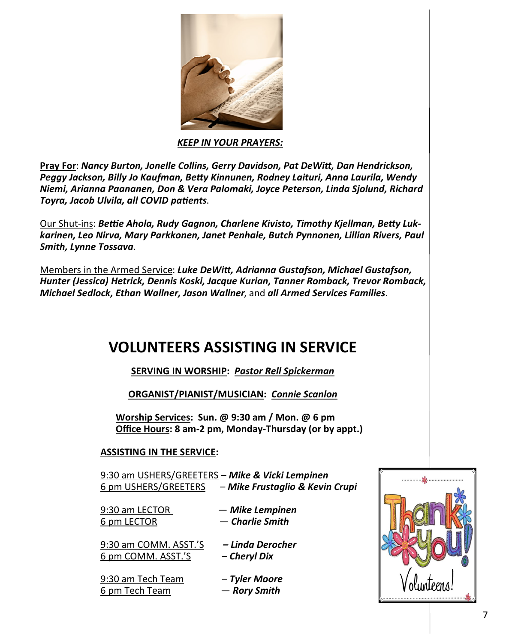

*KEEP IN YOUR PRAYERS:* 

**Pray For**: *Nancy Burton, Jonelle Collins, Gerry Davidson, Pat DeWitt, Dan Hendrickson, Peggy Jackson, Billy Jo Kaufman, Betty Kinnunen, Rodney Laituri, Anna Laurila, Wendy Niemi, Arianna Paananen, Don & Vera Palomaki, Joyce Peterson, Linda Sjolund, Richard Toyra, Jacob Ulvila, all COVID patients*.

Our Shut-ins: *Bettie Ahola, Rudy Gagnon, Charlene Kivisto, Timothy Kjellman, Betty Lukkarinen, Leo Nirva, Mary Parkkonen, Janet Penhale, Butch Pynnonen, Lillian Rivers, Paul Smith, Lynne Tossava*.

Members in the Armed Service: *Luke DeWitt, Adrianna Gustafson, Michael Gustafson, Hunter (Jessica) Hetrick, Dennis Koski, Jacque Kurian, Tanner Romback, Trevor Romback, Michael Sedlock, Ethan Wallner, Jason Wallner*, and *all Armed Services Families.*

### **VOLUNTEERS ASSISTING IN SERVICE**

**SERVING IN WORSHIP:** *Pastor Rell Spickerman*

**ORGANIST/PIANIST/MUSICIAN:** *Connie Scanlon* 

**Worship Services: Sun. @ 9:30 am / Mon. @ 6 pm Office Hours: 8 am-2 pm, Monday-Thursday (or by appt.)**

#### **ASSISTING IN THE SERVICE:**

9:30 am USHERS/GREETERS – *Mike & Vicki Lempinen* 6 pm USHERS/GREETERS – *Mike Frustaglio & Kevin Crupi*

| 9:30 am LECTOR | — Mike Lempinen |
|----------------|-----------------|
| 6 pm LECTOR    | — Charlie Smith |

9:30 am COMM. ASST.'S *– Linda Derocher* 6 pm COMM. ASST.'S – *Cheryl Dix*

9:30 am Tech Team – *Tyler Moore*  6 pm Tech Team — *Rory Smith*

- 
-